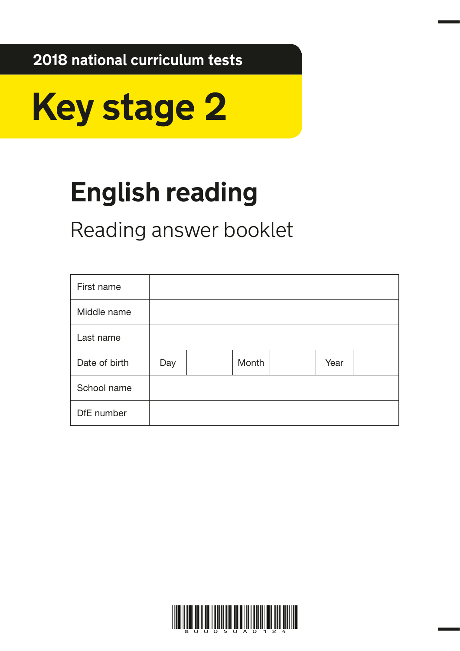**2018 national curriculum tests**



# **English reading**

Reading answer booklet

| First name    |     |       |      |  |
|---------------|-----|-------|------|--|
| Middle name   |     |       |      |  |
| Last name     |     |       |      |  |
| Date of birth | Day | Month | Year |  |
| School name   |     |       |      |  |
| DfE number    |     |       |      |  |

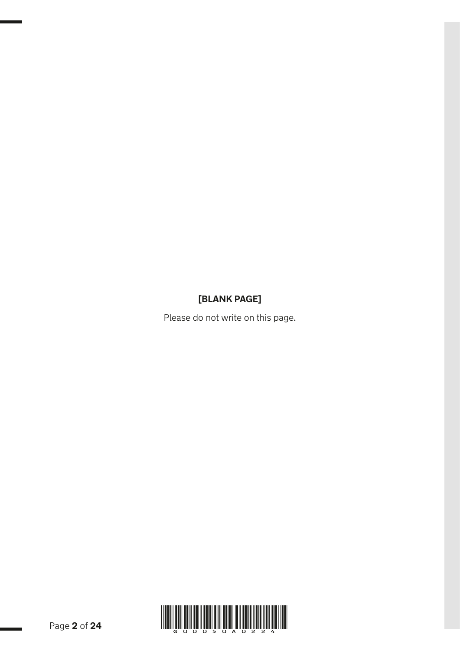# **[BLANK PAGE]**

Please do not write on this page.

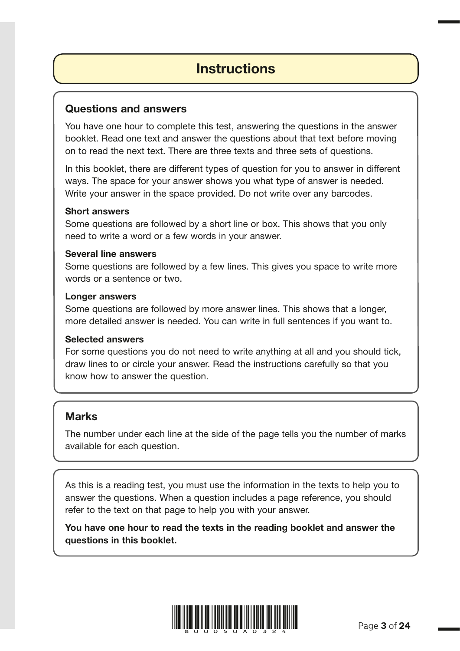# **Instructions**

### Questions and answers

You have one hour to complete this test, answering the questions in the answer booklet. Read one text and answer the questions about that text before moving on to read the next text. There are three texts and three sets of questions.

In this booklet, there are different types of question for you to answer in different ways. The space for your answer shows you what type of answer is needed. Write your answer in the space provided. Do not write over any barcodes.

### Short answers

Some questions are followed by a short line or box. This shows that you only need to write a word or a few words in your answer.

### Several line answers

Some questions are followed by a few lines. This gives you space to write more words or a sentence or two.

### Longer answers

Some questions are followed by more answer lines. This shows that a longer, more detailed answer is needed. You can write in full sentences if you want to.

### Selected answers

For some questions you do not need to write anything at all and you should tick, draw lines to or circle your answer. Read the instructions carefully so that you know how to answer the question.

## **Marks**

The number under each line at the side of the page tells you the number of marks available for each question.

As this is a reading test, you must use the information in the texts to help you to answer the questions. When a question includes a page reference, you should refer to the text on that page to help you with your answer.

You have one hour to read the texts in the reading booklet and answer the questions in this booklet.

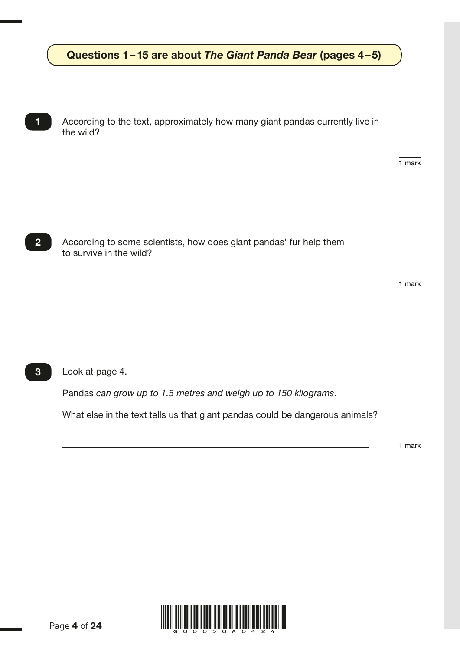## Questions 1–15 are about *The Giant Panda Bear* (pages 4–5)

According to the text, approximately how many giant pandas currently live in the wild?

1 mark

2

1

According to some scientists, how does giant pandas' fur help them to survive in the wild?

1 mark

Look at page 4. 3

Pandas *can grow up to 1.5 metres and weigh up to 150 kilograms*.

What else in the text tells us that giant pandas could be dangerous animals?

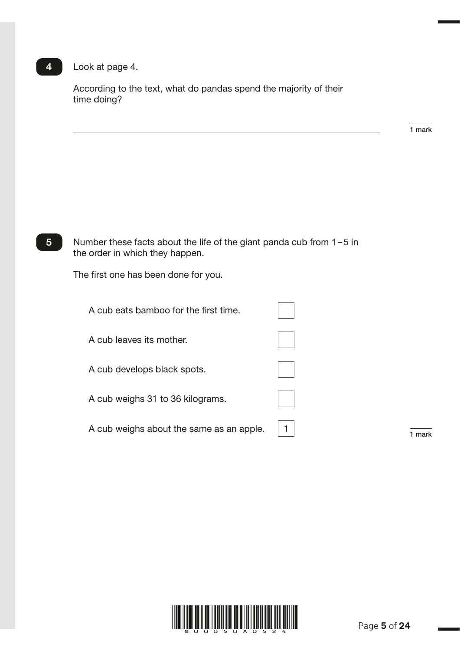# 4 Look at page 4.

According to the text, what do pandas spend the majority of their time doing?

1 mark

1 mark

R027321 – 28 September 2017 3:45 PM – Version 1

| 5 | Number these facts about the life of the giant panda cub from $1-5$ in<br>the order in which they happen. |  |
|---|-----------------------------------------------------------------------------------------------------------|--|
|   | The first one has been done for you.                                                                      |  |
|   | A cub eats bamboo for the first time.                                                                     |  |
|   | A cub leaves its mother.                                                                                  |  |
|   | A cub develops black spots.                                                                               |  |
|   | A cub weighs 31 to 36 kilograms.                                                                          |  |
|   | A cub weighs about the same as an apple.                                                                  |  |

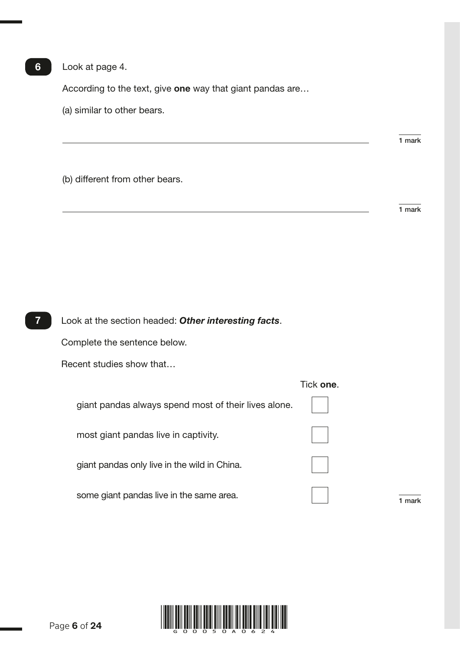Look at page 4.

According to the text, give one way that giant pandas are...

(a) similar to other bears.

(b) different from other bears.

1 mark

1 mark

| Look at the section headed: Other interesting facts. |           |        |
|------------------------------------------------------|-----------|--------|
| Complete the sentence below.                         |           |        |
| Recent studies show that                             |           |        |
|                                                      | Tick one. |        |
| giant pandas always spend most of their lives alone. |           |        |
| most giant pandas live in captivity.                 |           |        |
| giant pandas only live in the wild in China.         |           |        |
| some giant pandas live in the same area.             |           | 1 mark |
|                                                      |           |        |



6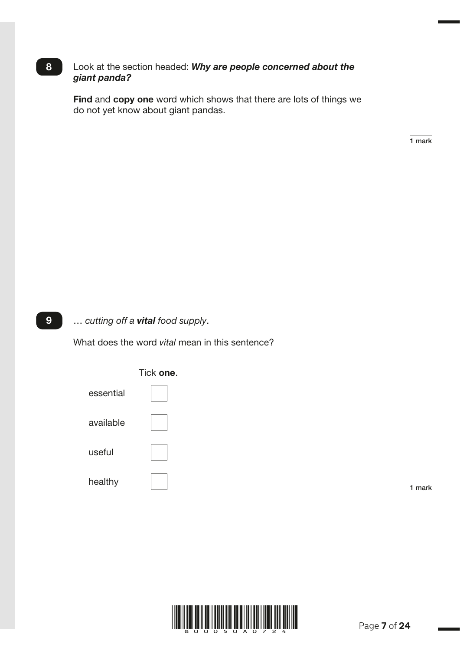### 8 Look at the section headed: *Why are people concerned about the giant panda?*

Find and copy one word which shows that there are lots of things we do not yet know about giant pandas.

1 mark

R027323 – 30 October 2017 12:11 PM – Version 1

… *cutting off a vital food supply*. 9

What does the word *vital* mean in this sentence?



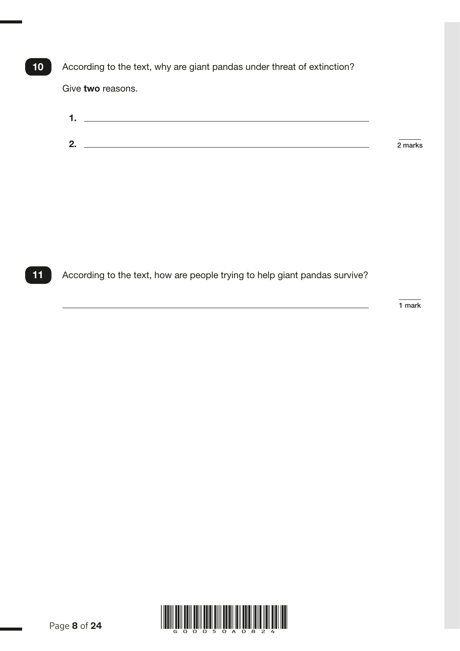According to the text, why are giant pandas under threat of extinction? Give two reasons. 10

| ◢<br>. . |           |
|----------|-----------|
|          |           |
| 2.       | $2$ marks |
|          |           |

11 According to the text, how are people trying to help giant pandas survive?

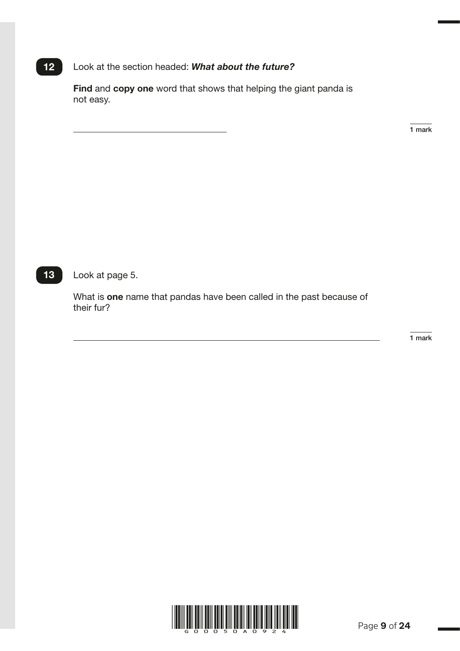### Look at the section headed: *What about the future?*  $12$

Find and copy one word that shows that helping the giant panda is not easy.

1 mark

R024194 – 1 December 2017 4:13 PM – Version 2

Look at page 5.  $13$ 

> What is one name that pandas have been called in the past because of their fur?

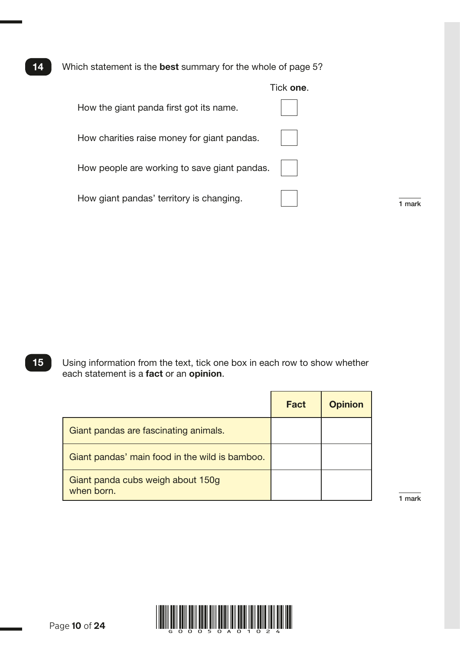Which statement is the best summary for the whole of page 5? 14

|                                              | Tick one. |
|----------------------------------------------|-----------|
| How the giant panda first got its name.      |           |
| How charities raise money for giant pandas.  |           |
| How people are working to save giant pandas. |           |
| How giant pandas' territory is changing.     | mark      |

Using information from the text, tick one box in each row to show whether each statement is a fact or an opinion. 15

|                                                 | <b>Fact</b> | <b>Opinion</b> |
|-------------------------------------------------|-------------|----------------|
| Giant pandas are fascinating animals.           |             |                |
| Giant pandas' main food in the wild is bamboo.  |             |                |
| Giant panda cubs weigh about 150g<br>when born. |             |                |

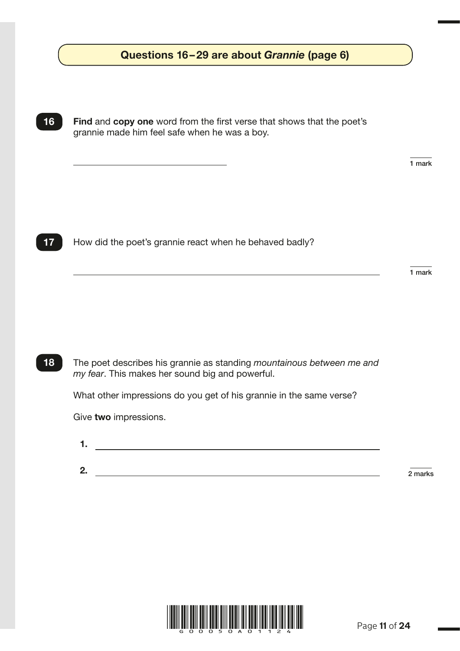| Find and copy one word from the first verse that shows that the poet's<br>grannie made him feel safe when he was a boy.  |        |
|--------------------------------------------------------------------------------------------------------------------------|--------|
|                                                                                                                          | 1 mark |
| How did the poet's grannie react when he behaved badly?                                                                  |        |
|                                                                                                                          | 1 mark |
|                                                                                                                          |        |
| The poet describes his grannie as standing mountainous between me and<br>my fear. This makes her sound big and powerful. |        |
| What other impressions do you get of his grannie in the same verse?                                                      |        |
|                                                                                                                          |        |

2.  $\overline{\hspace{1cm}}$  2 marks

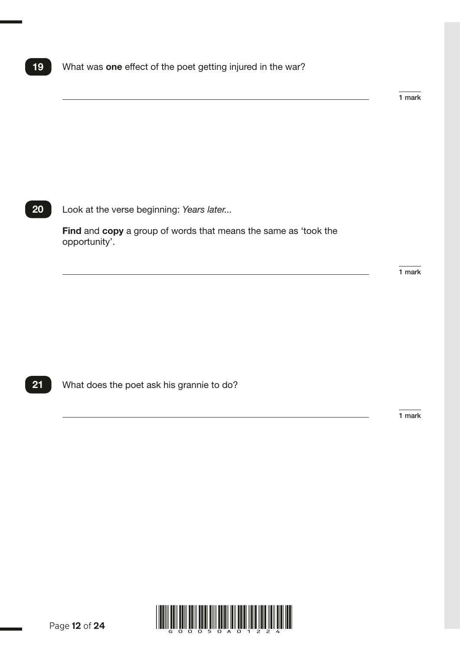## 19 What was one effect of the poet getting injured in the war?

1 mark

### 20 Look at the verse beginning: *Years later...*

Find and copy a group of words that means the same as 'took the opportunity'.

1 mark

21 What does the poet ask his grannie to do?

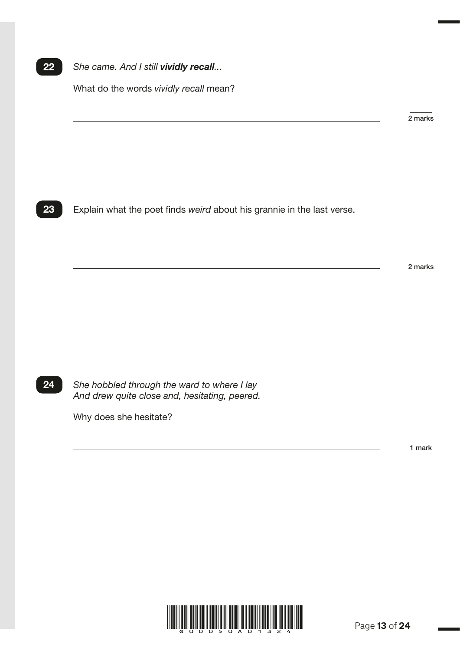### 22 *She came. And I still vividly recall...*

What do the words *vividly recall* mean?

2 marks

R026439 – 29 September 2017 9:01 AM – Version 1

23 Explain what the poet finds *weird* about his grannie in the last verse.

2 marks

24 *She hobbled through the ward to where I lay And drew quite close and, hesitating, peered.*

Why does she hesitate?

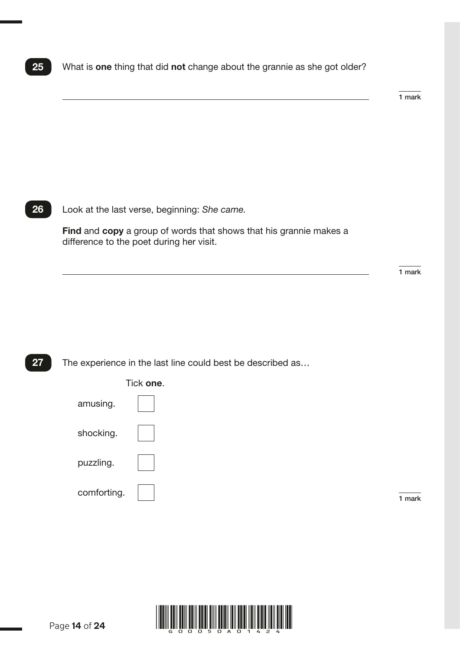### 25 What is one thing that did not change about the grannie as she got older?

1 mark

26 Look at the last verse, beginning: *She came.*

Find and copy a group of words that shows that his grannie makes a difference to the poet during her visit.

1 mark

### 27 The experience in the last line could best be described as...



Tick one.

comforting.  $\boxed{\phantom{a}}$ 

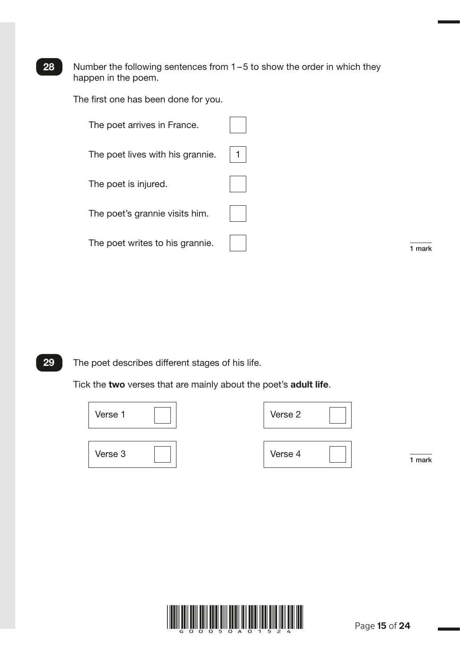28 Number the following sentences from  $1-5$  to show the order in which they happen in the poem.

The first one has been done for you.

| The poet arrives in France.      |      |
|----------------------------------|------|
| The poet lives with his grannie. |      |
| The poet is injured.             |      |
| The poet's grannie visits him.   |      |
| The poet writes to his grannie.  | mark |

R026452 – 1 December 2017 3:51 PM – Version 1

29 The poet describes different stages of his life.

Tick the two verses that are mainly about the poet's adult life.



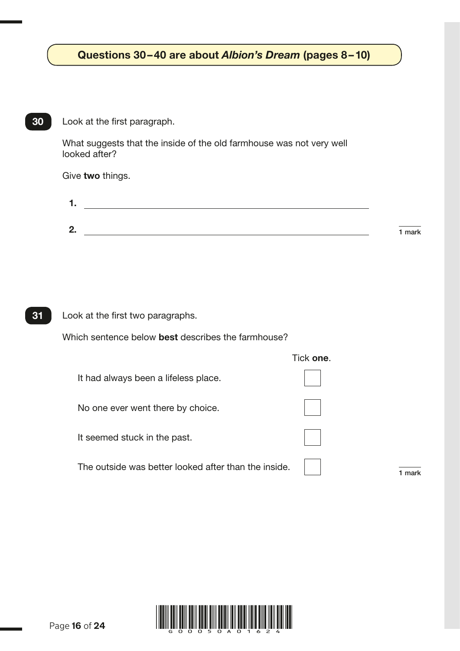# Questions 30–40 are about *Albion's Dream* (pages 8–10)

What suggests that the inside of the old farmhouse was not very well looked after?

Give two things.

| . . |        |
|-----|--------|
|     |        |
| 2.  | 1 mark |

Which sentence below best describes the farmhouse?

|                                                      | TICK <b>one</b> . |
|------------------------------------------------------|-------------------|
| It had always been a lifeless place.                 |                   |
| No one ever went there by choice.                    |                   |
| It seemed stuck in the past.                         |                   |
| The outside was better looked after than the inside. | mark              |

Tick one.

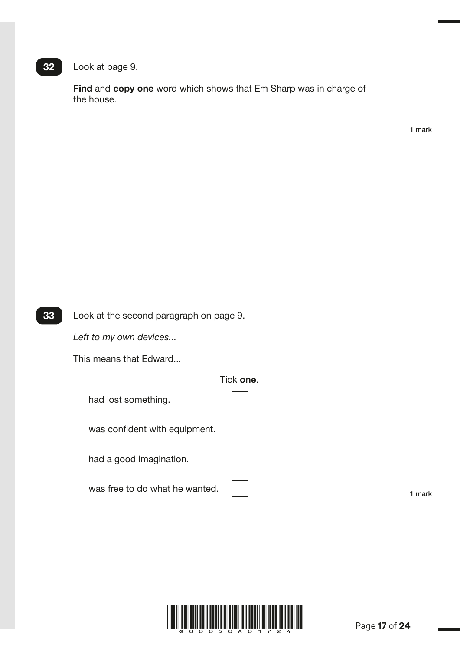### 32 Look at page 9.

Find and copy one word which shows that Em Sharp was in charge of the house.

1 mark

R028170 – 30 October 2017 12:36 PM – Version 1



Look at the second paragraph on page 9.

*Left to my own devices...*

This means that Edward...

### Tick one.



was confident with equipment.

had a good imagination.

was free to do what he wanted. 1 mark

|  | $\mathbb{R}^n$ |  |
|--|----------------|--|
|  |                |  |
|  |                |  |

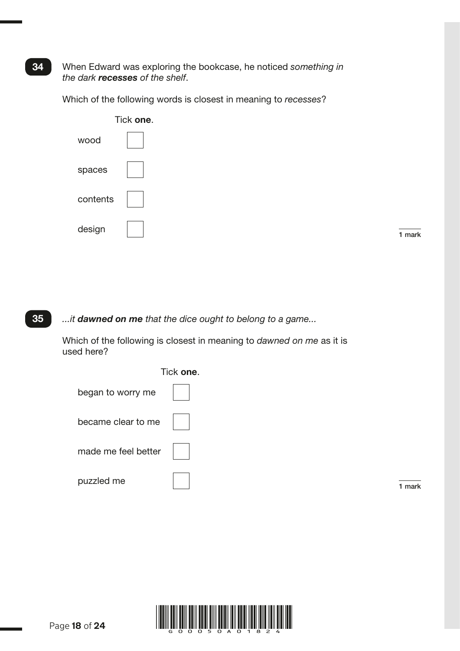### When Edward was exploring the bookcase, he noticed *something in the dark recesses of the shelf*.

Which of the following words is closest in meaning to *recesses*?



35 *...it dawned on me that the dice ought to belong to a game...*

> Which of the following is closest in meaning to *dawned on me* as it is used here?





# 34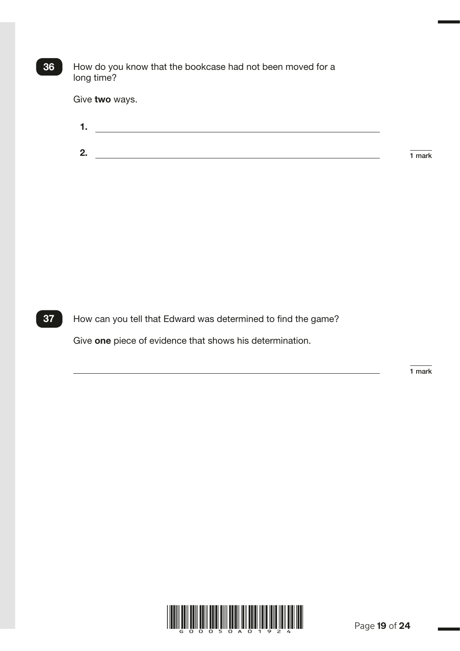| 36 | How do you know that the bookcase had not been moved for a<br>long time? |        |
|----|--------------------------------------------------------------------------|--------|
|    | Give two ways.                                                           |        |
|    | 1.                                                                       |        |
|    | 2.                                                                       | 1 mark |
|    |                                                                          |        |
|    |                                                                          |        |

37 How can you tell that Edward was determined to find the game?

Give one piece of evidence that shows his determination.

R026964 – 30 October 2017 12:48 PM – Version 1

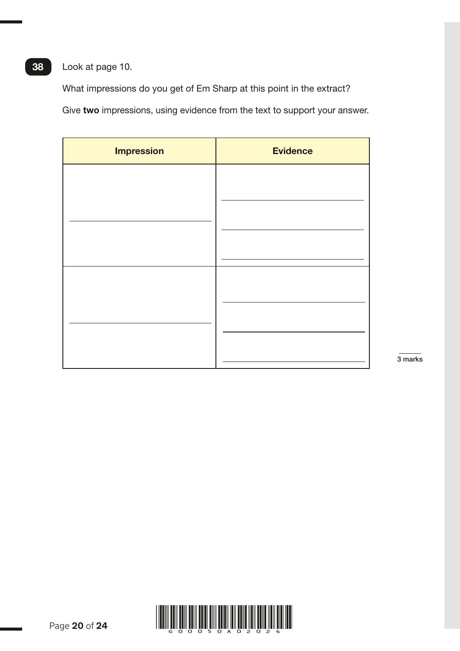# Look at page 10.

38

What impressions do you get of Em Sharp at this point in the extract?

Give two impressions, using evidence from the text to support your answer.

| <b>Impression</b> | <b>Evidence</b> |
|-------------------|-----------------|
|                   |                 |
|                   |                 |
|                   |                 |
|                   |                 |
|                   |                 |
|                   |                 |
|                   |                 |
|                   |                 |

3 marks

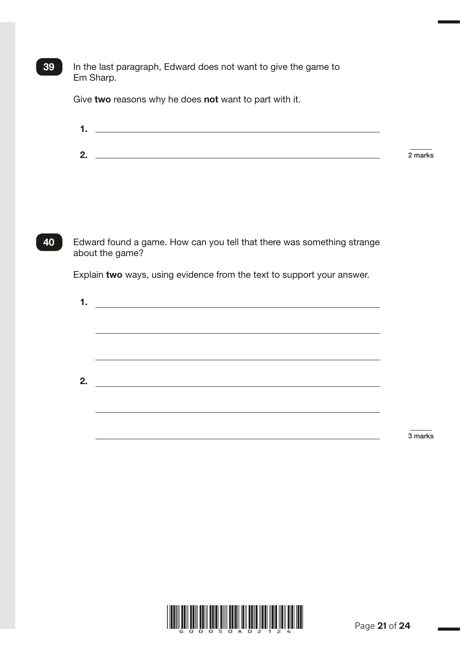In the last paragraph, Edward does not want to give the game to Em Sharp.

Give two reasons why he does not want to part with it.

39

| ◢<br>. |         |
|--------|---------|
|        |         |
|        |         |
| 2.     | 2 marks |

40 Edward found a game. How can you tell that there was something strange about the game?

Explain two ways, using evidence from the text to support your answer.

| 1. |  |
|----|--|
|    |  |
|    |  |
|    |  |
|    |  |
|    |  |
| 2. |  |
|    |  |
|    |  |
|    |  |
|    |  |

3 marks

R026970 – 29 September 2017 9:59 AM – Version 1

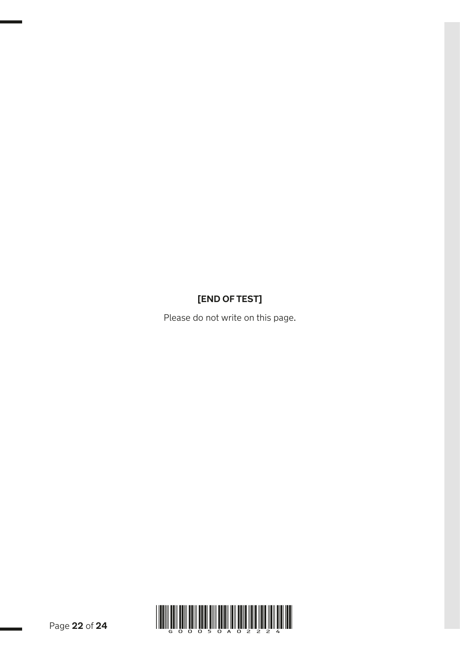# **[END OF TEST]**

Please do not write on this page.

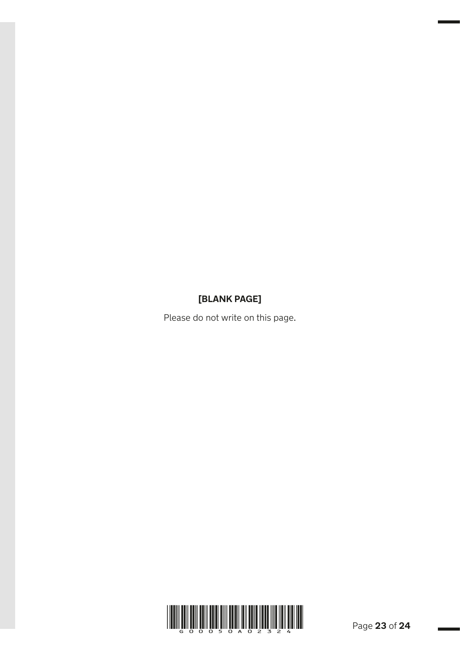# **[BLANK PAGE]**

Please do not write on this page.